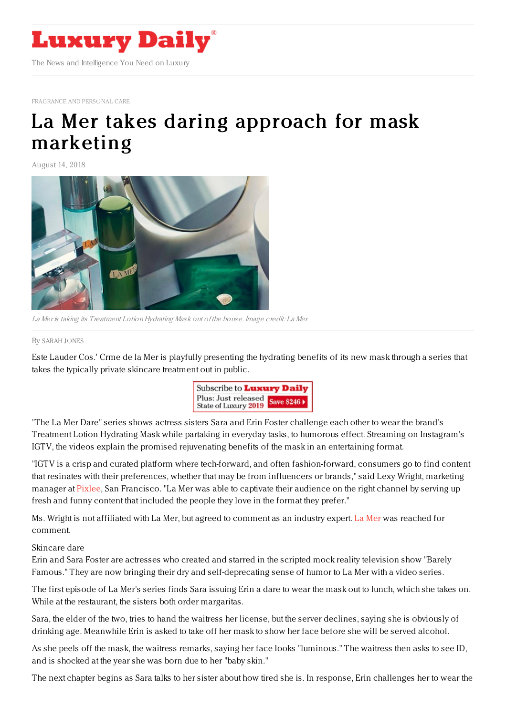

[FRAGRANCE](https://www.luxurydaily.com/category/sectors/fragrance-and-personal-care/) AND PERSONAL CARE

# La Mer takes daring approach for mask [marketing](https://www.luxurydaily.com/la-mer-takes-daring-approach-for-mask-marketing/)

August 14, 2018



La Mer is taking its Treatment Lotion Hydrating Mask out of the house. Image credit: La Mer

#### By [SARAH](file:///author/sarah-jones) JONES

Este Lauder Cos.' Crme de la Mer is playfully presenting the hydrating benefits of its new mask through a series that takes the typically private skincare treatment out in public.



"The La Mer Dare" series shows actress sisters Sara and Erin Foster challenge each other to wear the brand's Treatment Lotion Hydrating Mask while partaking in everyday tasks, to humorous effect. Streaming on Instagram's IGTV, the videos explain the promised rejuvenating benefits of the mask in an entertaining format.

"IGTV is a crisp and curated platform where tech-forward, and often fashion-forward, consumers go to find content that resinates with their preferences, whether that may be from influencers or brands," said Lexy Wright, marketing manager at [Pixlee](https://www.pixlee.com/), San Francisco. "La Mer was able to captivate their audience on the right channel by serving up fresh and funny content that included the people they love in the format they prefer."

Ms. Wright is not affiliated with La Mer, but agreed to comment as an industry expert. La [Mer](http://cremedelamer.com) was reached for comment.

#### Skincare dare

Erin and Sara Foster are actresses who created and starred in the scripted mock reality television show "Barely Famous." They are now bringing their dry and self-deprecating sense of humor to La Mer with a video series.

The first episode of La Mer's series finds Sara issuing Erin a dare to wear the mask out to lunch, which she takes on. While at the restaurant, the sisters both order margaritas.

Sara, the elder of the two, tries to hand the waitress her license, but the server declines, saying she is obviously of drinking age. Meanwhile Erin is asked to take off her mask to show her face before she will be served alcohol.

As she peels off the mask, the waitress remarks, saying her face looks "luminous." The waitress then asks to see ID, and is shocked at the year she was born due to her "baby skin."

The next chapter begins as Sara talks to her sister about how tired she is. In response, Erin challenges her to wear the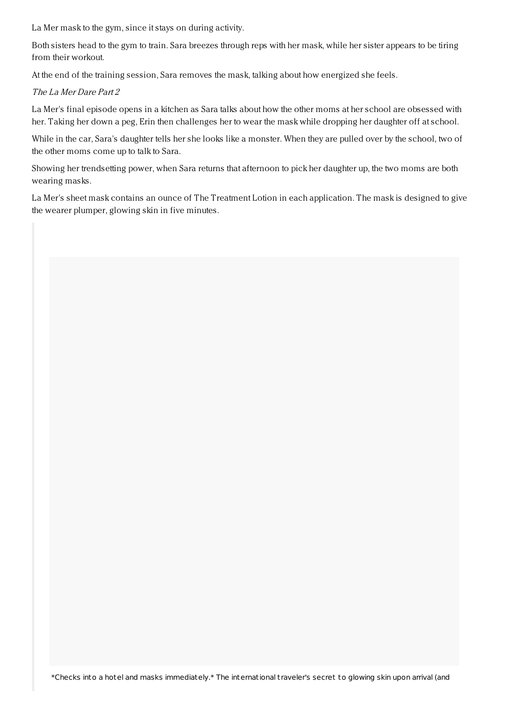La Mer mask to the gym, since it stays on during activity.

Both sisters head to the gym to train. Sara breezes through reps with her mask, while her sister appears to be tiring from their workout.

At the end of the training session, Sara removes the mask, talking about how energized she feels.

## The La Mer Dare Part 2

La Mer's final episode opens in a kitchen as Sara talks about how the other moms at her school are obsessed with her. Taking her down a peg, Erin then challenges her to wear the mask while dropping her daughter off at school.

While in the car, Sara's daughter tells her she looks like a monster. When they are pulled over by the school, two of the other moms come up to talk to Sara.

Showing her trendsetting power, when Sara returns that afternoon to pick her daughter up, the two moms are both wearing masks.

La Mer's sheet mask contains an ounce of The Treatment Lotion in each application. The mask is designed to give the wearer plumper, glowing skin in five minutes.